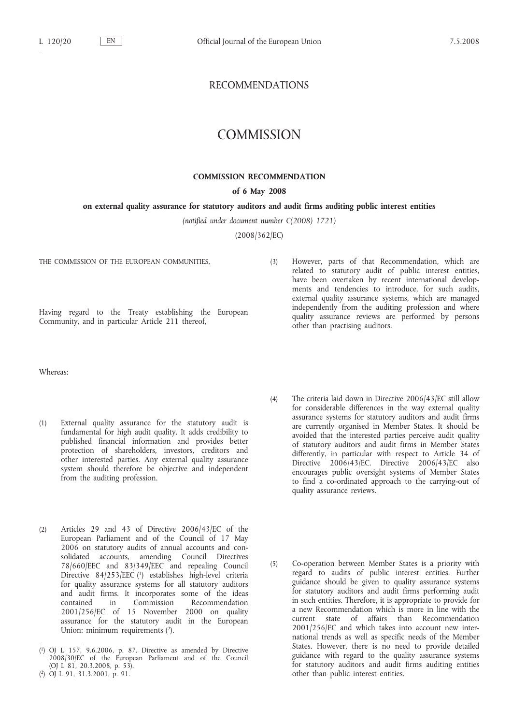## RECOMMENDATIONS

# **COMMISSION**

## **COMMISSION RECOMMENDATION**

## **of 6 May 2008**

### **on external quality assurance for statutory auditors and audit firms auditing public interest entities**

*(notified under document number C(2008) 1721)*

(2008/362/EC)

THE COMMISSION OF THE EUROPEAN COMMUNITIES,

Having regard to the Treaty establishing the European Community, and in particular Article 211 thereof,

(3) However, parts of that Recommendation, which are related to statutory audit of public interest entities, have been overtaken by recent international developments and tendencies to introduce, for such audits, external quality assurance systems, which are managed independently from the auditing profession and where quality assurance reviews are performed by persons other than practising auditors.

Whereas:

- (1) External quality assurance for the statutory audit is fundamental for high audit quality. It adds credibility to published financial information and provides better protection of shareholders, investors, creditors and other interested parties. Any external quality assurance system should therefore be objective and independent from the auditing profession.
- (2) Articles 29 and 43 of Directive 2006/43/EC of the European Parliament and of the Council of 17 May 2006 on statutory audits of annual accounts and consolidated accounts, amending Council Directives 78/660/EEC and 83/349/EEC and repealing Council Directive 84/253/EEC (1) establishes high-level criteria for quality assurance systems for all statutory auditors and audit firms. It incorporates some of the ideas in Commission Recommendation 2001/256/EC of 15 November 2000 on quality assurance for the statutory audit in the European Union: minimum requirements  $(2)$ .
- (4) The criteria laid down in Directive 2006/43/EC still allow for considerable differences in the way external quality assurance systems for statutory auditors and audit firms are currently organised in Member States. It should be avoided that the interested parties perceive audit quality of statutory auditors and audit firms in Member States differently, in particular with respect to Article 34 of Directive 2006/43/EC. Directive 2006/43/EC also encourages public oversight systems of Member States to find a co-ordinated approach to the carrying-out of quality assurance reviews.
- (5) Co-operation between Member States is a priority with regard to audits of public interest entities. Further guidance should be given to quality assurance systems for statutory auditors and audit firms performing audit in such entities. Therefore, it is appropriate to provide for a new Recommendation which is more in line with the current state of affairs than Recommendation 2001/256/EC and which takes into account new international trends as well as specific needs of the Member States. However, there is no need to provide detailed guidance with regard to the quality assurance systems for statutory auditors and audit firms auditing entities other than public interest entities.

<sup>(</sup> 1) OJ L 157, 9.6.2006, p. 87. Directive as amended by Directive 2008/30/EC of the European Parliament and of the Council (OJ L 81, 20.3.2008, p. 53).

<sup>(</sup> 2) OJ L 91, 31.3.2001, p. 91.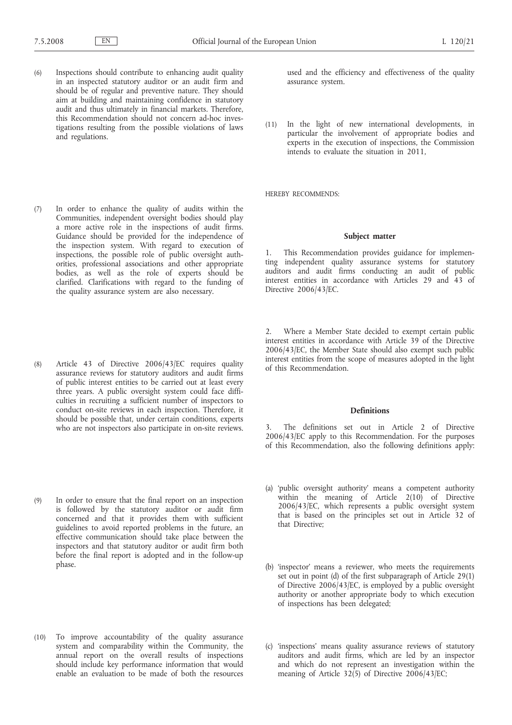- (6) Inspections should contribute to enhancing audit quality in an inspected statutory auditor or an audit firm and should be of regular and preventive nature. They should aim at building and maintaining confidence in statutory audit and thus ultimately in financial markets. Therefore, this Recommendation should not concern ad-hoc investigations resulting from the possible violations of laws and regulations.
- (7) In order to enhance the quality of audits within the Communities, independent oversight bodies should play a more active role in the inspections of audit firms. Guidance should be provided for the independence of the inspection system. With regard to execution of inspections, the possible role of public oversight authorities, professional associations and other appropriate bodies, as well as the role of experts should be clarified. Clarifications with regard to the funding of the quality assurance system are also necessary.
- (8) Article 43 of Directive 2006/43/EC requires quality assurance reviews for statutory auditors and audit firms of public interest entities to be carried out at least every three years. A public oversight system could face difficulties in recruiting a sufficient number of inspectors to conduct on-site reviews in each inspection. Therefore, it should be possible that, under certain conditions, experts who are not inspectors also participate in on-site reviews.
- (9) In order to ensure that the final report on an inspection is followed by the statutory auditor or audit firm concerned and that it provides them with sufficient guidelines to avoid reported problems in the future, an effective communication should take place between the inspectors and that statutory auditor or audit firm both before the final report is adopted and in the follow-up phase.
- (10) To improve accountability of the quality assurance system and comparability within the Community, the annual report on the overall results of inspections should include key performance information that would enable an evaluation to be made of both the resources

used and the efficiency and effectiveness of the quality assurance system.

(11) In the light of new international developments, in particular the involvement of appropriate bodies and experts in the execution of inspections, the Commission intends to evaluate the situation in 2011,

HEREBY RECOMMENDS:

#### **Subject matter**

1. This Recommendation provides guidance for implementing independent quality assurance systems for statutory auditors and audit firms conducting an audit of public interest entities in accordance with Articles 29 and 43 of Directive 2006/43/EC.

2. Where a Member State decided to exempt certain public interest entities in accordance with Article 39 of the Directive 2006/43/EC, the Member State should also exempt such public interest entities from the scope of measures adopted in the light of this Recommendation.

#### **Definitions**

The definitions set out in Article 2 of Directive 2006/43/EC apply to this Recommendation. For the purposes of this Recommendation, also the following definitions apply:

- (a) 'public oversight authority' means a competent authority within the meaning of Article 2(10) of Directive 2006/43/EC, which represents a public oversight system that is based on the principles set out in Article 32 of that Directive;
- (b) 'inspector' means a reviewer, who meets the requirements set out in point (d) of the first subparagraph of Article 29(1) of Directive 2006/43/EC, is employed by a public oversight authority or another appropriate body to which execution of inspections has been delegated;
- (c) 'inspections' means quality assurance reviews of statutory auditors and audit firms, which are led by an inspector and which do not represent an investigation within the meaning of Article 32(5) of Directive 2006/43/EC;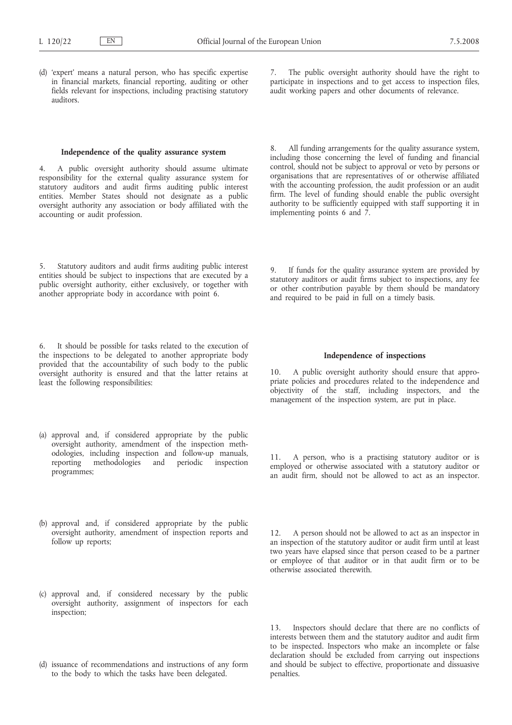(d) 'expert' means a natural person, who has specific expertise in financial markets, financial reporting, auditing or other fields relevant for inspections, including practising statutory auditors.

7. The public oversight authority should have the right to participate in inspections and to get access to inspection files, audit working papers and other documents of relevance.

#### **Independence of the quality assurance system**

4. A public oversight authority should assume ultimate responsibility for the external quality assurance system for statutory auditors and audit firms auditing public interest entities. Member States should not designate as a public oversight authority any association or body affiliated with the accounting or audit profession.

5. Statutory auditors and audit firms auditing public interest entities should be subject to inspections that are executed by a public oversight authority, either exclusively, or together with another appropriate body in accordance with point 6.

6. It should be possible for tasks related to the execution of the inspections to be delegated to another appropriate body provided that the accountability of such body to the public oversight authority is ensured and that the latter retains at least the following responsibilities:

- (a) approval and, if considered appropriate by the public oversight authority, amendment of the inspection methodologies, including inspection and follow-up manuals, periodic inspection programmes;
- (b) approval and, if considered appropriate by the public oversight authority, amendment of inspection reports and follow up reports;
- (c) approval and, if considered necessary by the public oversight authority, assignment of inspectors for each inspection;
- (d) issuance of recommendations and instructions of any form to the body to which the tasks have been delegated.

All funding arrangements for the quality assurance system, including those concerning the level of funding and financial control, should not be subject to approval or veto by persons or organisations that are representatives of or otherwise affiliated with the accounting profession, the audit profession or an audit firm. The level of funding should enable the public oversight authority to be sufficiently equipped with staff supporting it in implementing points 6 and  $\overline{7}$ .

If funds for the quality assurance system are provided by statutory auditors or audit firms subject to inspections, any fee or other contribution payable by them should be mandatory and required to be paid in full on a timely basis.

#### **Independence of inspections**

10. A public oversight authority should ensure that appropriate policies and procedures related to the independence and objectivity of the staff, including inspectors, and the management of the inspection system, are put in place.

11. A person, who is a practising statutory auditor or is employed or otherwise associated with a statutory auditor or an audit firm, should not be allowed to act as an inspector.

12. A person should not be allowed to act as an inspector in an inspection of the statutory auditor or audit firm until at least two years have elapsed since that person ceased to be a partner or employee of that auditor or in that audit firm or to be otherwise associated therewith.

13. Inspectors should declare that there are no conflicts of interests between them and the statutory auditor and audit firm to be inspected. Inspectors who make an incomplete or false declaration should be excluded from carrying out inspections and should be subject to effective, proportionate and dissuasive penalties.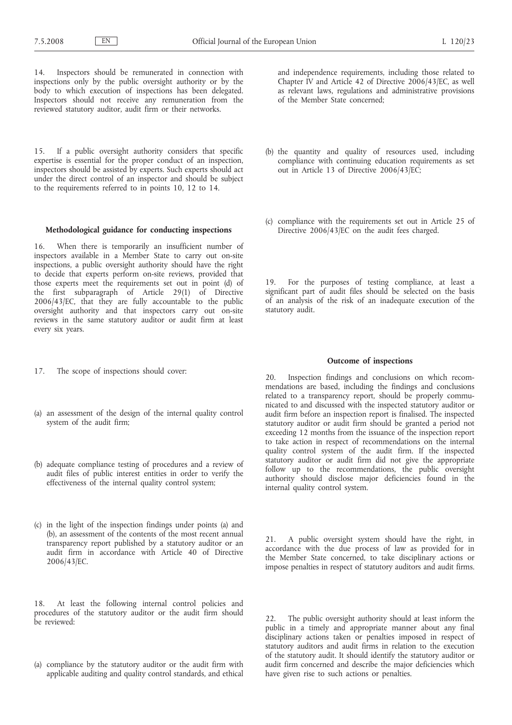14. Inspectors should be remunerated in connection with inspections only by the public oversight authority or by the body to which execution of inspections has been delegated. Inspectors should not receive any remuneration from the reviewed statutory auditor, audit firm or their networks.

15. If a public oversight authority considers that specific expertise is essential for the proper conduct of an inspection, inspectors should be assisted by experts. Such experts should act under the direct control of an inspector and should be subject to the requirements referred to in points 10, 12 to 14.

## **Methodological guidance for conducting inspections**

16. When there is temporarily an insufficient number of inspectors available in a Member State to carry out on-site inspections, a public oversight authority should have the right to decide that experts perform on-site reviews, provided that those experts meet the requirements set out in point (d) of the first subparagraph of Article 29(1) of Directive 2006/43/EC, that they are fully accountable to the public oversight authority and that inspectors carry out on-site reviews in the same statutory auditor or audit firm at least every six years.

- 17. The scope of inspections should cover:
- (a) an assessment of the design of the internal quality control system of the audit firm;
- (b) adequate compliance testing of procedures and a review of audit files of public interest entities in order to verify the effectiveness of the internal quality control system;
- (c) in the light of the inspection findings under points (a) and (b), an assessment of the contents of the most recent annual transparency report published by a statutory auditor or an audit firm in accordance with Article 40 of Directive 2006/43/EC.

18. At least the following internal control policies and procedures of the statutory auditor or the audit firm should be reviewed:

(a) compliance by the statutory auditor or the audit firm with applicable auditing and quality control standards, and ethical and independence requirements, including those related to Chapter IV and Article 42 of Directive 2006/43/EC, as well as relevant laws, regulations and administrative provisions of the Member State concerned;

- (b) the quantity and quality of resources used, including compliance with continuing education requirements as set out in Article 13 of Directive 2006/43/EC;
- (c) compliance with the requirements set out in Article 25 of Directive 2006/43/EC on the audit fees charged.

19. For the purposes of testing compliance, at least a significant part of audit files should be selected on the basis of an analysis of the risk of an inadequate execution of the statutory audit.

## **Outcome of inspections**

20. Inspection findings and conclusions on which recommendations are based, including the findings and conclusions related to a transparency report, should be properly communicated to and discussed with the inspected statutory auditor or audit firm before an inspection report is finalised. The inspected statutory auditor or audit firm should be granted a period not exceeding 12 months from the issuance of the inspection report to take action in respect of recommendations on the internal quality control system of the audit firm. If the inspected statutory auditor or audit firm did not give the appropriate follow up to the recommendations, the public oversight authority should disclose major deficiencies found in the internal quality control system.

21. A public oversight system should have the right, in accordance with the due process of law as provided for in the Member State concerned, to take disciplinary actions or impose penalties in respect of statutory auditors and audit firms.

22. The public oversight authority should at least inform the public in a timely and appropriate manner about any final disciplinary actions taken or penalties imposed in respect of statutory auditors and audit firms in relation to the execution of the statutory audit. It should identify the statutory auditor or audit firm concerned and describe the major deficiencies which have given rise to such actions or penalties.